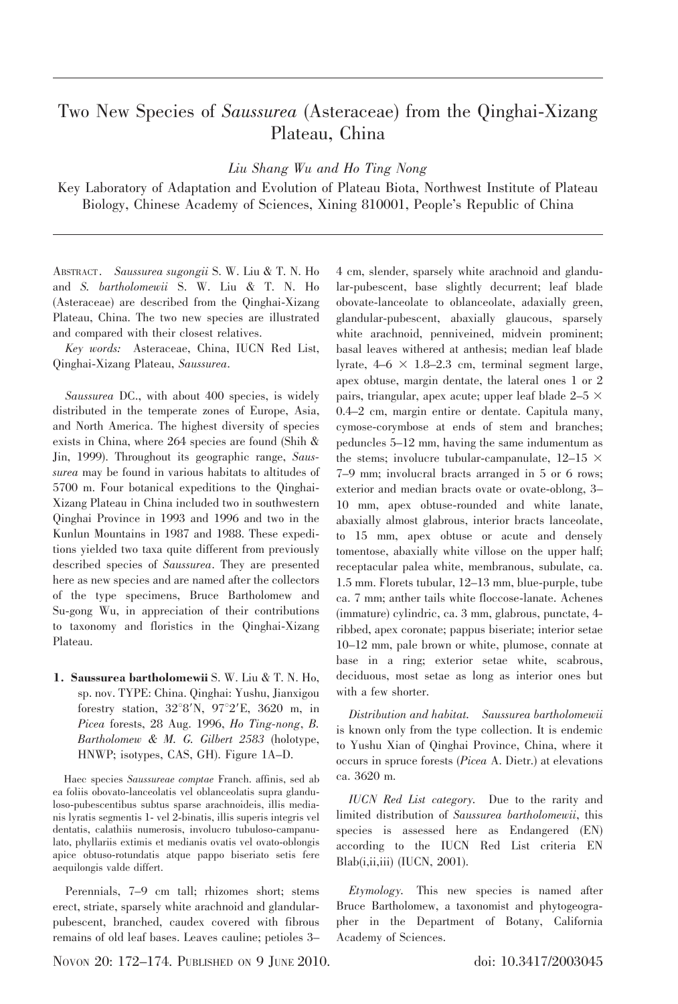## Two New Species of Saussurea (Asteraceae) from the Qinghai-Xizang Plateau, China

Liu Shang Wu and Ho Ting Nong

Key Laboratory of Adaptation and Evolution of Plateau Biota, Northwest Institute of Plateau Biology, Chinese Academy of Sciences, Xining 810001, People's Republic of China

ABSTRACT. Saussurea sugongii S. W. Liu & T. N. Ho and S. bartholomewii S. W. Liu & T. N. Ho (Asteraceae) are described from the Qinghai-Xizang Plateau, China. The two new species are illustrated and compared with their closest relatives.

Key words: Asteraceae, China, IUCN Red List, Qinghai-Xizang Plateau, Saussurea.

Saussurea DC., with about 400 species, is widely distributed in the temperate zones of Europe, Asia, and North America. The highest diversity of species exists in China, where 264 species are found (Shih & Jin, 1999). Throughout its geographic range, Saussurea may be found in various habitats to altitudes of 5700 m. Four botanical expeditions to the Qinghai-Xizang Plateau in China included two in southwestern Qinghai Province in 1993 and 1996 and two in the Kunlun Mountains in 1987 and 1988. These expeditions yielded two taxa quite different from previously described species of Saussurea. They are presented here as new species and are named after the collectors of the type specimens, Bruce Bartholomew and Su-gong Wu, in appreciation of their contributions to taxonomy and floristics in the Qinghai-Xizang Plateau.

1. Saussurea bartholomewii S. W. Liu & T. N. Ho, sp. nov. TYPE: China. Qinghai: Yushu, Jianxigou forestry station,  $32^{\circ}8'$ N,  $97^{\circ}2'E$ ,  $3620$  m, in Picea forests, 28 Aug. 1996, Ho Ting-nong, B. Bartholomew & M. G. Gilbert 2583 (holotype, HNWP; isotypes, CAS, GH). Figure 1A–D.

Haec species Saussureae comptae Franch. affinis, sed ab ea foliis obovato-lanceolatis vel oblanceolatis supra glanduloso-pubescentibus subtus sparse arachnoideis, illis medianis lyratis segmentis 1- vel 2-binatis, illis superis integris vel dentatis, calathiis numerosis, involucro tubuloso-campanulato, phyllariis extimis et medianis ovatis vel ovato-oblongis apice obtuso-rotundatis atque pappo biseriato setis fere aequilongis valde differt.

Perennials, 7–9 cm tall; rhizomes short; stems erect, striate, sparsely white arachnoid and glandularpubescent, branched, caudex covered with fibrous remains of old leaf bases. Leaves cauline; petioles 3– 4 cm, slender, sparsely white arachnoid and glandular-pubescent, base slightly decurrent; leaf blade obovate-lanceolate to oblanceolate, adaxially green, glandular-pubescent, abaxially glaucous, sparsely white arachnoid, penniveined, midvein prominent; basal leaves withered at anthesis; median leaf blade lyrate,  $4-6 \times 1.8-2.3$  cm, terminal segment large, apex obtuse, margin dentate, the lateral ones 1 or 2 pairs, triangular, apex acute; upper leaf blade  $2-5 \times$ 0.4–2 cm, margin entire or dentate. Capitula many, cymose-corymbose at ends of stem and branches; peduncles 5–12 mm, having the same indumentum as the stems; involucre tubular-campanulate,  $12-15 \times$ 7–9 mm; involucral bracts arranged in 5 or 6 rows; exterior and median bracts ovate or ovate-oblong, 3– 10 mm, apex obtuse-rounded and white lanate, abaxially almost glabrous, interior bracts lanceolate, to 15 mm, apex obtuse or acute and densely tomentose, abaxially white villose on the upper half; receptacular palea white, membranous, subulate, ca. 1.5 mm. Florets tubular, 12–13 mm, blue-purple, tube ca. 7 mm; anther tails white floccose-lanate. Achenes (immature) cylindric, ca. 3 mm, glabrous, punctate, 4 ribbed, apex coronate; pappus biseriate; interior setae 10–12 mm, pale brown or white, plumose, connate at base in a ring; exterior setae white, scabrous, deciduous, most setae as long as interior ones but with a few shorter.

Distribution and habitat. Saussurea bartholomewii is known only from the type collection. It is endemic to Yushu Xian of Qinghai Province, China, where it occurs in spruce forests (Picea A. Dietr.) at elevations ca. 3620 m.

IUCN Red List category. Due to the rarity and limited distribution of Saussurea bartholomewii, this species is assessed here as Endangered (EN) according to the IUCN Red List criteria EN  $Blab(i,ii,iii)$  (IUCN, 2001).

Etymology. This new species is named after Bruce Bartholomew, a taxonomist and phytogeographer in the Department of Botany, California Academy of Sciences.

Novon 20: 172–174. PUBLISHED ON 9 JUNE 2010. doi: 10.3417/2003045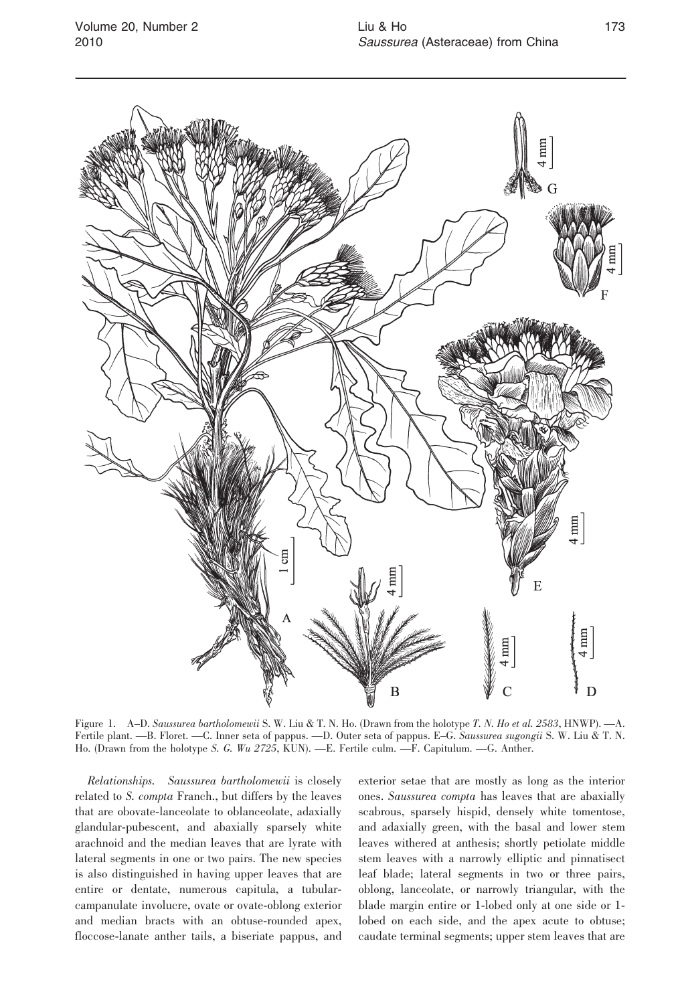

Figure 1. A–D. Saussurea bartholomewii S. W. Liu & T. N. Ho. (Drawn from the holotype T. N. Ho et al. 2583, HNWP). —A. Fertile plant. —B. Floret. —C. Inner seta of pappus. —D. Outer seta of pappus. E–G. Saussurea sugongii S. W. Liu & T. N. Ho. (Drawn from the holotype S. G. Wu 2725, KUN). —E. Fertile culm. —F. Capitulum. —G. Anther.

Relationships. Saussurea bartholomewii is closely related to S. compta Franch., but differs by the leaves that are obovate-lanceolate to oblanceolate, adaxially glandular-pubescent, and abaxially sparsely white arachnoid and the median leaves that are lyrate with lateral segments in one or two pairs. The new species is also distinguished in having upper leaves that are entire or dentate, numerous capitula, a tubularcampanulate involucre, ovate or ovate-oblong exterior and median bracts with an obtuse-rounded apex, floccose-lanate anther tails, a biseriate pappus, and

exterior setae that are mostly as long as the interior ones. Saussurea compta has leaves that are abaxially scabrous, sparsely hispid, densely white tomentose, and adaxially green, with the basal and lower stem leaves withered at anthesis; shortly petiolate middle stem leaves with a narrowly elliptic and pinnatisect leaf blade; lateral segments in two or three pairs, oblong, lanceolate, or narrowly triangular, with the blade margin entire or 1-lobed only at one side or 1 lobed on each side, and the apex acute to obtuse; caudate terminal segments; upper stem leaves that are